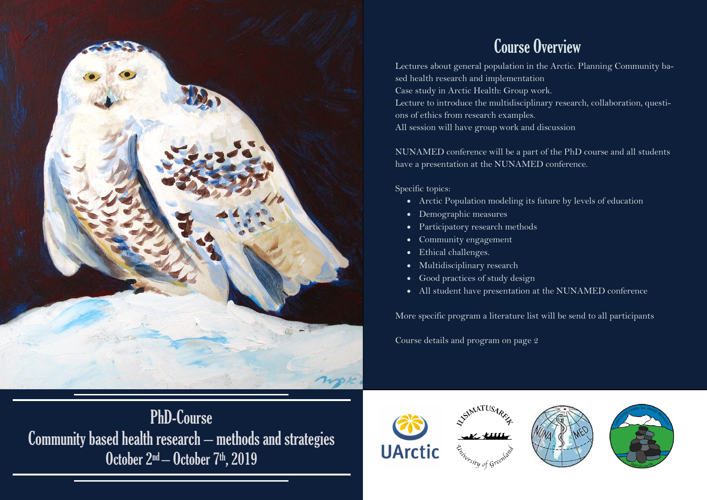

# PhD-Course Community based health research – methods and strategies October 2<sup>nd</sup> – October 7<sup>th</sup>, 2019

## Course Overview

Lectures about general population in the Arctic. Planning Community based health research and implementation Case study in Arctic Health: Group work. Lecture to introduce the multidisciplinary research, collaboration, questions of ethics from research examples. All session will have group work and discussion

NUNAMED conference will be a part of the PhD course and all students have a presentation at the NUNAMED conference.

Specific topics:

- Arctic Population modeling its future by levels of education
- Demographic measures
- Participatory research methods
- Community engagement
- Ethical challenges.
- Multidisciplinary research
- Good practices of study design
- All student have presentation at the NUNAMED conference

More specific program a literature list will be send to all participants

Course details and program on page 2